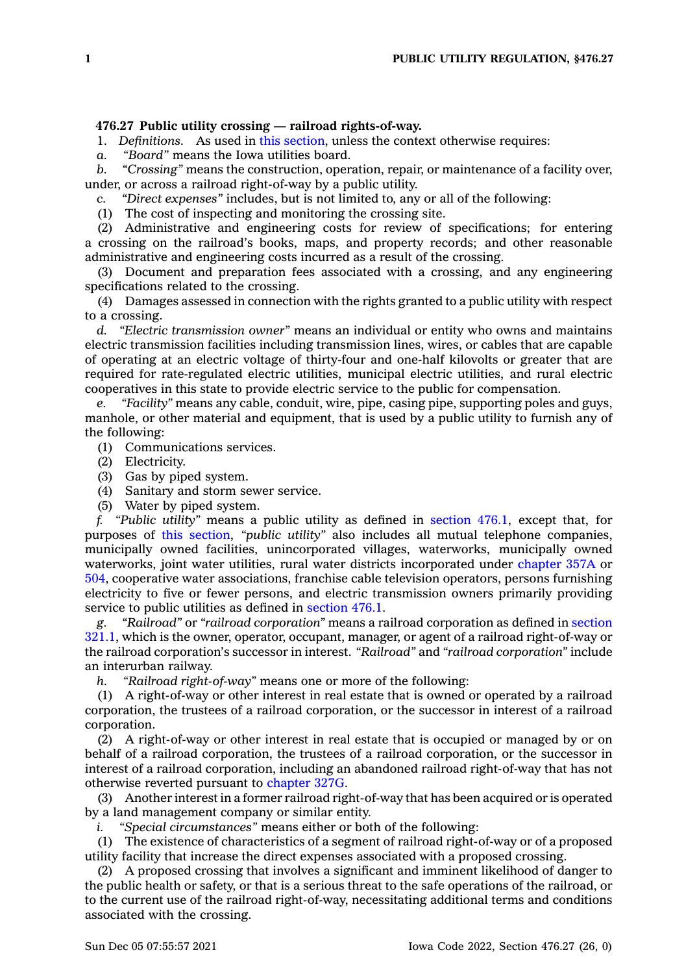## **476.27 Public utility crossing — railroad rights-of-way.**

1. *Definitions.* As used in this [section](https://www.legis.iowa.gov/docs/code/476.27.pdf), unless the context otherwise requires:

*a. "Board"* means the Iowa utilities board.

*b. "Crossing"* means the construction, operation, repair, or maintenance of <sup>a</sup> facility over, under, or across <sup>a</sup> railroad right-of-way by <sup>a</sup> public utility.

*c. "Direct expenses"* includes, but is not limited to, any or all of the following:

(1) The cost of inspecting and monitoring the crossing site.

(2) Administrative and engineering costs for review of specifications; for entering <sup>a</sup> crossing on the railroad's books, maps, and property records; and other reasonable administrative and engineering costs incurred as <sup>a</sup> result of the crossing.

(3) Document and preparation fees associated with <sup>a</sup> crossing, and any engineering specifications related to the crossing.

(4) Damages assessed in connection with the rights granted to <sup>a</sup> public utility with respect to <sup>a</sup> crossing.

*d. "Electric transmission owner"* means an individual or entity who owns and maintains electric transmission facilities including transmission lines, wires, or cables that are capable of operating at an electric voltage of thirty-four and one-half kilovolts or greater that are required for rate-regulated electric utilities, municipal electric utilities, and rural electric cooperatives in this state to provide electric service to the public for compensation.

*e. "Facility"* means any cable, conduit, wire, pipe, casing pipe, supporting poles and guys, manhole, or other material and equipment, that is used by <sup>a</sup> public utility to furnish any of the following:

(1) Communications services.

- (2) Electricity.
- (3) Gas by piped system.
- (4) Sanitary and storm sewer service.
- (5) Water by piped system.

*f. "Public utility"* means <sup>a</sup> public utility as defined in [section](https://www.legis.iowa.gov/docs/code/476.1.pdf) 476.1, except that, for purposes of this [section](https://www.legis.iowa.gov/docs/code/476.27.pdf), *"public utility"* also includes all mutual telephone companies, municipally owned facilities, unincorporated villages, waterworks, municipally owned waterworks, joint water utilities, rural water districts incorporated under [chapter](https://www.legis.iowa.gov/docs/code//357A.pdf) 357A or [504](https://www.legis.iowa.gov/docs/code//504.pdf), cooperative water associations, franchise cable television operators, persons furnishing electricity to five or fewer persons, and electric transmission owners primarily providing service to public utilities as defined in [section](https://www.legis.iowa.gov/docs/code/476.1.pdf) 476.1.

*g. "Railroad"* or *"railroad corporation"* means <sup>a</sup> railroad corporation as defined in [section](https://www.legis.iowa.gov/docs/code/321.1.pdf) [321.1](https://www.legis.iowa.gov/docs/code/321.1.pdf), which is the owner, operator, occupant, manager, or agent of <sup>a</sup> railroad right-of-way or the railroad corporation's successor in interest. *"Railroad"* and *"railroad corporation"* include an interurban railway.

*h. "Railroad right-of-way"* means one or more of the following:

(1) A right-of-way or other interest in real estate that is owned or operated by <sup>a</sup> railroad corporation, the trustees of <sup>a</sup> railroad corporation, or the successor in interest of <sup>a</sup> railroad corporation.

(2) A right-of-way or other interest in real estate that is occupied or managed by or on behalf of <sup>a</sup> railroad corporation, the trustees of <sup>a</sup> railroad corporation, or the successor in interest of <sup>a</sup> railroad corporation, including an abandoned railroad right-of-way that has not otherwise reverted pursuant to [chapter](https://www.legis.iowa.gov/docs/code//327G.pdf) 327G.

(3) Another interest in <sup>a</sup> former railroad right-of-way that has been acquired or is operated by <sup>a</sup> land management company or similar entity.

*i. "Special circumstances"* means either or both of the following:

(1) The existence of characteristics of <sup>a</sup> segment of railroad right-of-way or of <sup>a</sup> proposed utility facility that increase the direct expenses associated with <sup>a</sup> proposed crossing.

(2) A proposed crossing that involves <sup>a</sup> significant and imminent likelihood of danger to the public health or safety, or that is <sup>a</sup> serious threat to the safe operations of the railroad, or to the current use of the railroad right-of-way, necessitating additional terms and conditions associated with the crossing.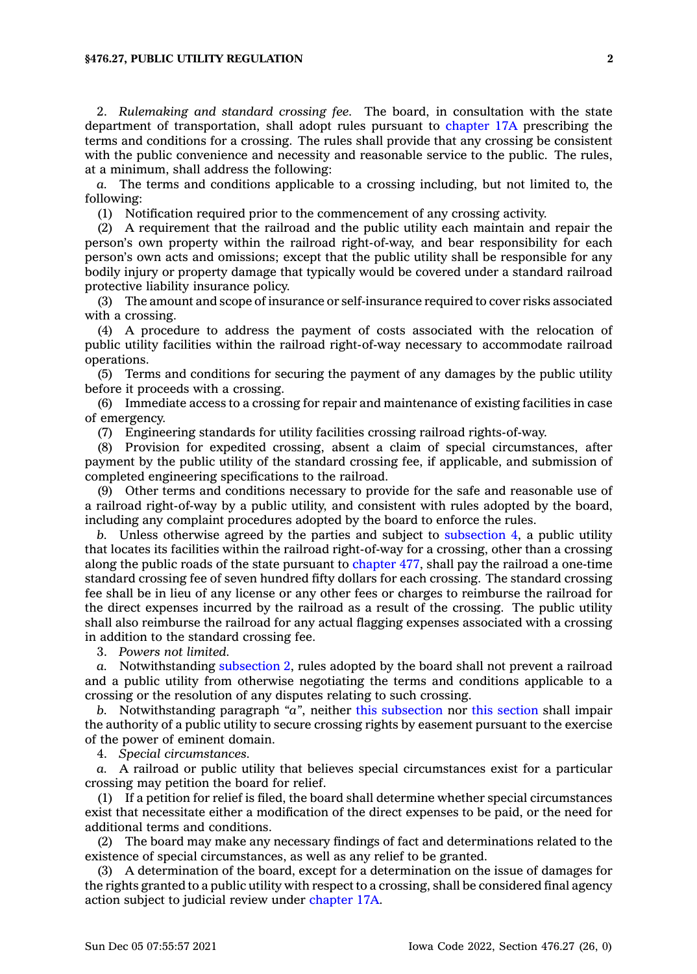2. *Rulemaking and standard crossing fee.* The board, in consultation with the state department of transportation, shall adopt rules pursuant to [chapter](https://www.legis.iowa.gov/docs/code//17A.pdf) 17A prescribing the terms and conditions for <sup>a</sup> crossing. The rules shall provide that any crossing be consistent with the public convenience and necessity and reasonable service to the public. The rules, at <sup>a</sup> minimum, shall address the following:

*a.* The terms and conditions applicable to <sup>a</sup> crossing including, but not limited to, the following:

(1) Notification required prior to the commencement of any crossing activity.

(2) A requirement that the railroad and the public utility each maintain and repair the person's own property within the railroad right-of-way, and bear responsibility for each person's own acts and omissions; except that the public utility shall be responsible for any bodily injury or property damage that typically would be covered under <sup>a</sup> standard railroad protective liability insurance policy.

(3) The amount and scope of insurance or self-insurance required to cover risks associated with <sup>a</sup> crossing.

(4) A procedure to address the payment of costs associated with the relocation of public utility facilities within the railroad right-of-way necessary to accommodate railroad operations.

(5) Terms and conditions for securing the payment of any damages by the public utility before it proceeds with <sup>a</sup> crossing.

(6) Immediate access to <sup>a</sup> crossing for repair and maintenance of existing facilities in case of emergency.

(7) Engineering standards for utility facilities crossing railroad rights-of-way.

(8) Provision for expedited crossing, absent <sup>a</sup> claim of special circumstances, after payment by the public utility of the standard crossing fee, if applicable, and submission of completed engineering specifications to the railroad.

(9) Other terms and conditions necessary to provide for the safe and reasonable use of <sup>a</sup> railroad right-of-way by <sup>a</sup> public utility, and consistent with rules adopted by the board, including any complaint procedures adopted by the board to enforce the rules.

*b.* Unless otherwise agreed by the parties and subject to [subsection](https://www.legis.iowa.gov/docs/code/476.27.pdf) 4, <sup>a</sup> public utility that locates its facilities within the railroad right-of-way for <sup>a</sup> crossing, other than <sup>a</sup> crossing along the public roads of the state pursuant to [chapter](https://www.legis.iowa.gov/docs/code//477.pdf) 477, shall pay the railroad <sup>a</sup> one-time standard crossing fee of seven hundred fifty dollars for each crossing. The standard crossing fee shall be in lieu of any license or any other fees or charges to reimburse the railroad for the direct expenses incurred by the railroad as <sup>a</sup> result of the crossing. The public utility shall also reimburse the railroad for any actual flagging expenses associated with <sup>a</sup> crossing in addition to the standard crossing fee.

3. *Powers not limited.*

*a.* Notwithstanding [subsection](https://www.legis.iowa.gov/docs/code/476.27.pdf) 2, rules adopted by the board shall not prevent <sup>a</sup> railroad and <sup>a</sup> public utility from otherwise negotiating the terms and conditions applicable to <sup>a</sup> crossing or the resolution of any disputes relating to such crossing.

*b.* Notwithstanding paragraph *"a"*, neither this [subsection](https://www.legis.iowa.gov/docs/code/476.27.pdf) nor this [section](https://www.legis.iowa.gov/docs/code/476.27.pdf) shall impair the authority of <sup>a</sup> public utility to secure crossing rights by easement pursuant to the exercise of the power of eminent domain.

4. *Special circumstances.*

*a.* A railroad or public utility that believes special circumstances exist for <sup>a</sup> particular crossing may petition the board for relief.

(1) If <sup>a</sup> petition for relief is filed, the board shall determine whether special circumstances exist that necessitate either <sup>a</sup> modification of the direct expenses to be paid, or the need for additional terms and conditions.

(2) The board may make any necessary findings of fact and determinations related to the existence of special circumstances, as well as any relief to be granted.

(3) A determination of the board, except for <sup>a</sup> determination on the issue of damages for the rights granted to <sup>a</sup> public utility with respect to <sup>a</sup> crossing, shall be considered final agency action subject to judicial review under [chapter](https://www.legis.iowa.gov/docs/code//17A.pdf) 17A.